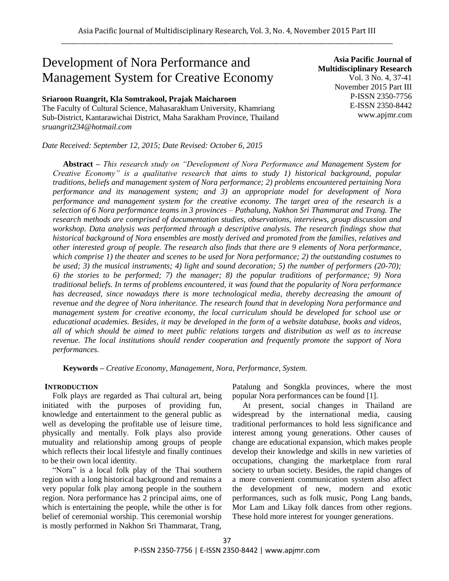# Development of Nora Performance and Management System for Creative Economy

### **Sriaroon Ruangrit, Kla Somtrakool, Prajak Maicharoen**

The Faculty of Cultural Science, Mahasarakham University, Khamriang Sub-District, Kantarawichai District, Maha Sarakham Province, Thailand *sruangrit234@hotmail.com*

*Date Received: September 12, 2015; Date Revised: October 6, 2015*

**Asia Pacific Journal of Multidisciplinary Research** Vol. 3 No. 4, 37-41 November 2015 Part III P-ISSN 2350-7756 E-ISSN 2350-8442 www.apjmr.com

**Abstract** *– This research study on "Development of Nora Performance and Management System for Creative Economy" is a qualitative research that aims to study 1) historical background, popular traditions, beliefs and management system of Nora performance; 2) problems encountered pertaining Nora performance and its management system; and 3) an appropriate model for development of Nora performance and management system for the creative economy. The target area of the research is a selection of 6 Nora performance teams in 3 provinces – Pathalung, Nakhon Sri Thammarat and Trang. The research methods are comprised of documentation studies, observations, interviews, group discussion and workshop. Data analysis was performed through a descriptive analysis. The research findings show that historical background of Nora ensembles are mostly derived and promoted from the families, relatives and other interested group of people. The research also finds that there are 9 elements of Nora performance, which comprise 1) the theater and scenes to be used for Nora performance; 2) the outstanding costumes to be used; 3) the musical instruments; 4) light and sound decoration; 5) the number of performers (20-70); 6) the stories to be performed; 7) the manager; 8) the popular traditions of performance; 9) Nora traditional beliefs. In terms of problems encountered, it was found that the popularity of Nora performance has decreased, since nowadays there is more technological media, thereby decreasing the amount of revenue and the degree of Nora inheritance. The research found that in developing Nora performance and management system for creative economy, the local curriculum should be developed for school use or educational academies. Besides, it may be developed in the form of a website database, books and videos, all of which should be aimed to meet public relations targets and distribution as well as to increase revenue. The local institutions should render cooperation and frequently promote the support of Nora performances.*

**Keywords** *– Creative Economy, Management, Nora, Performance, System.* 

#### **INTRODUCTION**

Folk plays are regarded as Thai cultural art, being initiated with the purposes of providing fun, knowledge and entertainment to the general public as well as developing the profitable use of leisure time, physically and mentally. Folk plays also provide mutuality and relationship among groups of people which reflects their local lifestyle and finally continues to be their own local identity.

"Nora" is a local folk play of the Thai southern region with a long historical background and remains a very popular folk play among people in the southern region. Nora performance has 2 principal aims, one of which is entertaining the people, while the other is for belief of ceremonial worship. This ceremonial worship is mostly performed in Nakhon Sri Thammarat, Trang,

Patalung and Songkla provinces, where the most popular Nora performances can be found [1].

At present, social changes in Thailand are widespread by the international media, causing traditional performances to hold less significance and interest among young generations. Other causes of change are educational expansion, which makes people develop their knowledge and skills in new varieties of occupations, changing the marketplace from rural society to urban society. Besides, the rapid changes of a more convenient communication system also affect the development of new, modern and exotic performances, such as folk music, Pong Lang bands, Mor Lam and Likay folk dances from other regions. These hold more interest for younger generations.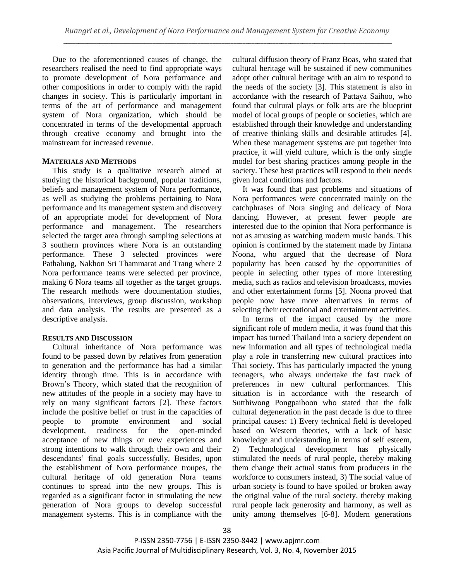Due to the aforementioned causes of change, the researchers realised the need to find appropriate ways to promote development of Nora performance and other compositions in order to comply with the rapid changes in society. This is particularly important in terms of the art of performance and management system of Nora organization, which should be concentrated in terms of the developmental approach through creative economy and brought into the mainstream for increased revenue.

## **MATERIALS AND METHODS**

This study is a qualitative research aimed at studying the historical background, popular traditions, beliefs and management system of Nora performance, as well as studying the problems pertaining to Nora performance and its management system and discovery of an appropriate model for development of Nora performance and management. The researchers selected the target area through sampling selections at 3 southern provinces where Nora is an outstanding performance. These 3 selected provinces were Pathalung, Nakhon Sri Thammarat and Trang where 2 Nora performance teams were selected per province, making 6 Nora teams all together as the target groups. The research methods were documentation studies, observations, interviews, group discussion, workshop and data analysis. The results are presented as a descriptive analysis.

# **RESULTS AND DISCUSSION**

Cultural inheritance of Nora performance was found to be passed down by relatives from generation to generation and the performance has had a similar identity through time. This is in accordance with Brown's Theory, which stated that the recognition of new attitudes of the people in a society may have to rely on many significant factors [2]. These factors include the positive belief or trust in the capacities of people to promote environment and social development, readiness for the open-minded acceptance of new things or new experiences and strong intentions to walk through their own and their descendants' final goals successfully. Besides, upon the establishment of Nora performance troupes, the cultural heritage of old generation Nora teams continues to spread into the new groups. This is regarded as a significant factor in stimulating the new generation of Nora groups to develop successful management systems. This is in compliance with the

cultural diffusion theory of Franz Boas, who stated that cultural heritage will be sustained if new communities adopt other cultural heritage with an aim to respond to the needs of the society [3]. This statement is also in accordance with the research of Pattaya Saihoo, who found that cultural plays or folk arts are the blueprint model of local groups of people or societies, which are established through their knowledge and understanding of creative thinking skills and desirable attitudes [4]. When these management systems are put together into practice, it will yield culture, which is the only single model for best sharing practices among people in the society. These best practices will respond to their needs given local conditions and factors.

It was found that past problems and situations of Nora performances were concentrated mainly on the catchphrases of Nora singing and delicacy of Nora dancing. However, at present fewer people are interested due to the opinion that Nora performance is not as amusing as watching modern music bands. This opinion is confirmed by the statement made by Jintana Noona, who argued that the decrease of Nora popularity has been caused by the opportunities of people in selecting other types of more interesting media, such as radios and television broadcasts, movies and other entertainment forms [5]. Noona proved that people now have more alternatives in terms of selecting their recreational and entertainment activities.

In terms of the impact caused by the more significant role of modern media, it was found that this impact has turned Thailand into a society dependent on new information and all types of technological media play a role in transferring new cultural practices into Thai society. This has particularly impacted the young teenagers, who always undertake the fast track of preferences in new cultural performances. This situation is in accordance with the research of Sutthiwong Pongpaiboon who stated that the folk cultural degeneration in the past decade is due to three principal causes: 1) Every technical field is developed based on Western theories, with a lack of basic knowledge and understanding in terms of self esteem, 2) Technological development has physically stimulated the needs of rural people, thereby making them change their actual status from producers in the workforce to consumers instead, 3) The social value of urban society is found to have spoiled or broken away the original value of the rural society, thereby making rural people lack generosity and harmony, as well as unity among themselves [6-8]. Modern generations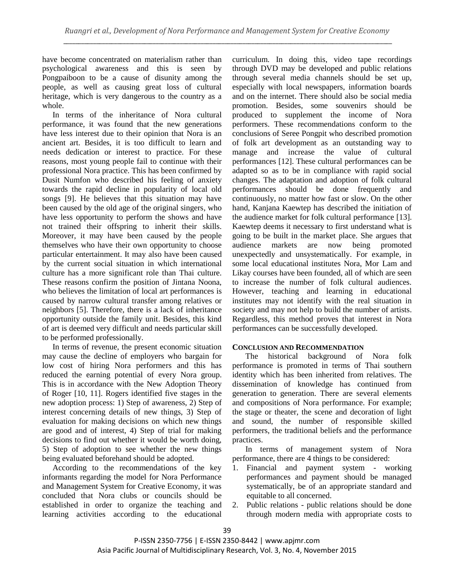have become concentrated on materialism rather than psychological awareness and this is seen by Pongpaiboon to be a cause of disunity among the people, as well as causing great loss of cultural heritage, which is very dangerous to the country as a whole.

In terms of the inheritance of Nora cultural performance, it was found that the new generations have less interest due to their opinion that Nora is an ancient art. Besides, it is too difficult to learn and needs dedication or interest to practice. For these reasons, most young people fail to continue with their professional Nora practice. This has been confirmed by Dusit Numfon who described his feeling of anxiety towards the rapid decline in popularity of local old songs [9]. He believes that this situation may have been caused by the old age of the original singers, who have less opportunity to perform the shows and have not trained their offspring to inherit their skills. Moreover, it may have been caused by the people themselves who have their own opportunity to choose particular entertainment. It may also have been caused by the current social situation in which international culture has a more significant role than Thai culture. These reasons confirm the position of Jintana Noona, who believes the limitation of local art performances is caused by narrow cultural transfer among relatives or neighbors [5]. Therefore, there is a lack of inheritance opportunity outside the family unit. Besides, this kind of art is deemed very difficult and needs particular skill to be performed professionally.

In terms of revenue, the present economic situation may cause the decline of employers who bargain for low cost of hiring Nora performers and this has reduced the earning potential of every Nora group. This is in accordance with the New Adoption Theory of Roger [10, 11]. Rogers identified five stages in the new adoption process: 1) Step of awareness, 2) Step of interest concerning details of new things, 3) Step of evaluation for making decisions on which new things are good and of interest, 4) Step of trial for making decisions to find out whether it would be worth doing, 5) Step of adoption to see whether the new things being evaluated beforehand should be adopted.

According to the recommendations of the key informants regarding the model for Nora Performance and Management System for Creative Economy, it was concluded that Nora clubs or councils should be established in order to organize the teaching and learning activities according to the educational curriculum. In doing this, video tape recordings through DVD may be developed and public relations through several media channels should be set up, especially with local newspapers, information boards and on the internet. There should also be social media promotion. Besides, some souvenirs should be produced to supplement the income of Nora performers. These recommendations conform to the conclusions of Seree Pongpit who described promotion of folk art development as an outstanding way to manage and increase the value of cultural performances [12]. These cultural performances can be adapted so as to be in compliance with rapid social changes. The adaptation and adoption of folk cultural performances should be done frequently and continuously, no matter how fast or slow. On the other hand, Kanjana Kaewtep has described the initiation of the audience market for folk cultural performance [13]. Kaewtep deems it necessary to first understand what is going to be built in the market place. She argues that audience markets are now being promoted unexpectedly and unsystematically. For example, in some local educational institutes Nora, Mor Lam and Likay courses have been founded, all of which are seen to increase the number of folk cultural audiences. However, teaching and learning in educational institutes may not identify with the real situation in society and may not help to build the number of artists. Regardless, this method proves that interest in Nora performances can be successfully developed.

# **CONCLUSION AND RECOMMENDATION**

The historical background of Nora folk performance is promoted in terms of Thai southern identity which has been inherited from relatives. The dissemination of knowledge has continued from generation to generation. There are several elements and compositions of Nora performance. For example; the stage or theater, the scene and decoration of light and sound, the number of responsible skilled performers, the traditional beliefs and the performance practices.

In terms of management system of Nora performance, there are 4 things to be considered:

- 1. Financial and payment system working performances and payment should be managed systematically, be of an appropriate standard and equitable to all concerned.
- 2. Public relations public relations should be done through modern media with appropriate costs to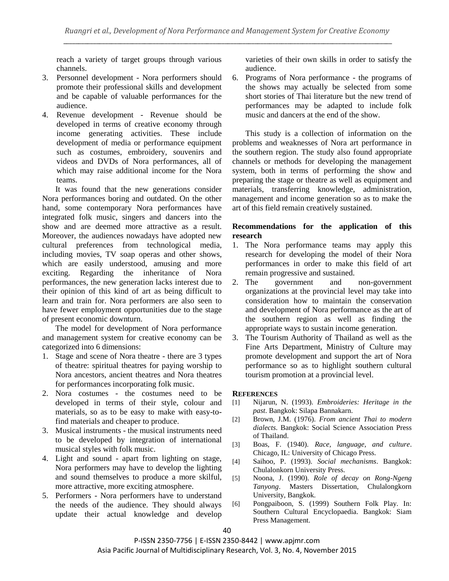reach a variety of target groups through various channels.

- 3. Personnel development Nora performers should promote their professional skills and development and be capable of valuable performances for the audience.
- 4. Revenue development Revenue should be developed in terms of creative economy through income generating activities. These include development of media or performance equipment such as costumes, embroidery, souvenirs and videos and DVDs of Nora performances, all of which may raise additional income for the Nora teams.

It was found that the new generations consider Nora performances boring and outdated. On the other hand, some contemporary Nora performances have integrated folk music, singers and dancers into the show and are deemed more attractive as a result. Moreover, the audiences nowadays have adopted new cultural preferences from technological media, including movies, TV soap operas and other shows, which are easily understood, amusing and more exciting. Regarding the inheritance of Nora performances, the new generation lacks interest due to their opinion of this kind of art as being difficult to learn and train for. Nora performers are also seen to have fewer employment opportunities due to the stage of present economic downturn.

The model for development of Nora performance and management system for creative economy can be categorized into 6 dimensions:

- 1. Stage and scene of Nora theatre there are 3 types of theatre: spiritual theatres for paying worship to Nora ancestors, ancient theatres and Nora theatres for performances incorporating folk music.
- 2. Nora costumes the costumes need to be developed in terms of their style, colour and materials, so as to be easy to make with easy-tofind materials and cheaper to produce.
- 3. Musical instruments the musical instruments need to be developed by integration of international musical styles with folk music.
- 4. Light and sound apart from lighting on stage, Nora performers may have to develop the lighting and sound themselves to produce a more skilful, more attractive, more exciting atmosphere.
- 5. Performers Nora performers have to understand the needs of the audience. They should always update their actual knowledge and develop

varieties of their own skills in order to satisfy the audience.

6. Programs of Nora performance - the programs of the shows may actually be selected from some short stories of Thai literature but the new trend of performances may be adapted to include folk music and dancers at the end of the show.

This study is a collection of information on the problems and weaknesses of Nora art performance in the southern region. The study also found appropriate channels or methods for developing the management system, both in terms of performing the show and preparing the stage or theatre as well as equipment and materials, transferring knowledge, administration, management and income generation so as to make the art of this field remain creatively sustained.

## **Recommendations for the application of this research**

- 1. The Nora performance teams may apply this research for developing the model of their Nora performances in order to make this field of art remain progressive and sustained.
- 2. The government and non-government organizations at the provincial level may take into consideration how to maintain the conservation and development of Nora performance as the art of the southern region as well as finding the appropriate ways to sustain income generation.
- 3. The Tourism Authority of Thailand as well as the Fine Arts Department, Ministry of Culture may promote development and support the art of Nora performance so as to highlight southern cultural tourism promotion at a provincial level.

## **REFERENCES**

- [1] Nijarun, N. (1993). *Embroideries: Heritage in the past*. Bangkok: Silapa Bannakarn.
- [2] Brown, J.M. (1976). *From ancient Thai to modern dialects*. Bangkok: Social Science Association Press of Thailand.
- [3] Boas, F. (1940). *Race, language, and culture*. Chicago, IL: University of Chicago Press.
- [4] Saihoo, P. (1993). *Social mechanisms*. Bangkok: Chulalonkorn University Press.
- [5] Noona, J. (1990). *Role of decay on Rong-Ngeng Tanyong*. Masters Dissertation, Chulalongkorn University, Bangkok.
- [6] Pongpaiboon, S. (1999) Southern Folk Play. In: Southern Cultural Encyclopaedia. Bangkok: Siam Press Management.